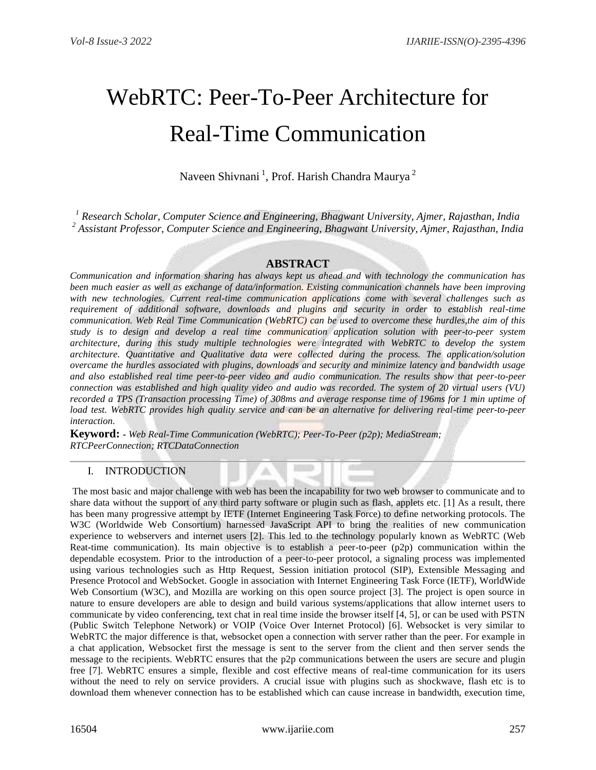# WebRTC: Peer-To-Peer Architecture for Real-Time Communication

Naveen Shivnani<sup>1</sup>, Prof. Harish Chandra Maurya<sup>2</sup>

*<sup>1</sup> Research Scholar, Computer Science and Engineering, Bhagwant University, Ajmer, Rajasthan, India <sup>2</sup> Assistant Professor, Computer Science and Engineering, Bhagwant University, Ajmer, Rajasthan, India*

# **ABSTRACT**

*Communication and information sharing has always kept us ahead and with technology the communication has been much easier as well as exchange of data/information. Existing communication channels have been improving with new technologies. Current real-time communication applications come with several challenges such as requirement of additional software, downloads and plugins and security in order to establish real-time communication. Web Real Time Communication (WebRTC) can be used to overcome these hurdles,the aim of this study is to design and develop a real time communication application solution with peer-to-peer system architecture, during this study multiple technologies were integrated with WebRTC to develop the system architecture. Quantitative and Qualitative data were collected during the process. The application/solution overcame the hurdles associated with plugins, downloads and security and minimize latency and bandwidth usage and also established real time peer-to-peer video and audio communication. The results show that peer-to-peer connection was established and high quality video and audio was recorded. The system of 20 virtual users (VU) recorded a TPS (Transaction processing Time) of 308ms and average response time of 196ms for 1 min uptime of load test. WebRTC provides high quality service and can be an alternative for delivering real-time peer-to-peer interaction.*

**Keyword: -** *Web Real-Time Communication (WebRTC); Peer-To-Peer (p2p); MediaStream; RTCPeerConnection; RTCDataConnection* 

# I. INTRODUCTION

The most basic and major challenge with web has been the incapability for two web browser to communicate and to share data without the support of any third party software or plugin such as flash, applets etc. [1] As a result, there has been many progressive attempt by IETF (Internet Engineering Task Force) to define networking protocols. The W3C (Worldwide Web Consortium) harnessed JavaScript API to bring the realities of new communication experience to webservers and internet users [2]. This led to the technology popularly known as WebRTC (Web Reat-time communication). Its main objective is to establish a peer-to-peer (p2p) communication within the dependable ecosystem. Prior to the introduction of a peer-to-peer protocol, a signaling process was implemented using various technologies such as Http Request, Session initiation protocol (SIP), Extensible Messaging and Presence Protocol and WebSocket. Google in association with Internet Engineering Task Force (IETF), WorldWide Web Consortium (W3C), and Mozilla are working on this open source project [3]. The project is open source in nature to ensure developers are able to design and build various systems/applications that allow internet users to communicate by video conferencing, text chat in real time inside the browser itself [4, 5], or can be used with PSTN (Public Switch Telephone Network) or VOIP (Voice Over Internet Protocol) [6]. Websocket is very similar to WebRTC the major difference is that, websocket open a connection with server rather than the peer. For example in a chat application, Websocket first the message is sent to the server from the client and then server sends the message to the recipients. WebRTC ensures that the p2p communications between the users are secure and plugin free [7]. WebRTC ensures a simple, flexible and cost effective means of real-time communication for its users without the need to rely on service providers. A crucial issue with plugins such as shockwave, flash etc is to download them whenever connection has to be established which can cause increase in bandwidth, execution time,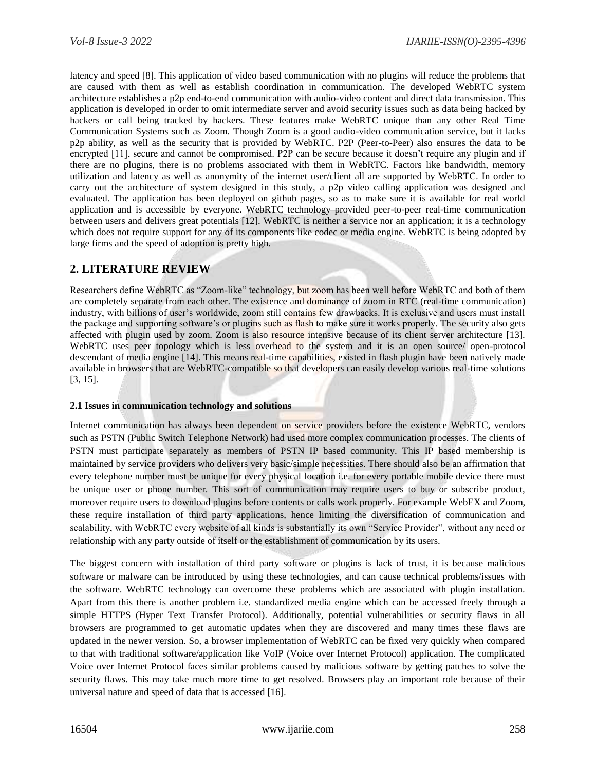latency and speed [8]. This application of video based communication with no plugins will reduce the problems that are caused with them as well as establish coordination in communication. The developed WebRTC system architecture establishes a p2p end-to-end communication with audio-video content and direct data transmission. This application is developed in order to omit intermediate server and avoid security issues such as data being hacked by hackers or call being tracked by hackers. These features make WebRTC unique than any other Real Time Communication Systems such as Zoom. Though Zoom is a good audio-video communication service, but it lacks p2p ability, as well as the security that is provided by WebRTC. P2P (Peer-to-Peer) also ensures the data to be encrypted [11], secure and cannot be compromised. P2P can be secure because it doesn't require any plugin and if there are no plugins, there is no problems associated with them in WebRTC. Factors like bandwidth, memory utilization and latency as well as anonymity of the internet user/client all are supported by WebRTC. In order to carry out the architecture of system designed in this study, a p2p video calling application was designed and evaluated. The application has been deployed on github pages, so as to make sure it is available for real world application and is accessible by everyone. WebRTC technology provided peer-to-peer real-time communication between users and delivers great potentials [12]. WebRTC is neither a service nor an application; it is a technology which does not require support for any of its components like codec or media engine. WebRTC is being adopted by large firms and the speed of adoption is pretty high.

# **2. LITERATURE REVIEW**

Researchers define WebRTC as "Zoom-like" technology, but zoom has been well before WebRTC and both of them are completely separate from each other. The existence and dominance of zoom in RTC (real-time communication) industry, with billions of user's worldwide, zoom still contains few drawbacks. It is exclusive and users must install the package and supporting software's or plugins such as flash to make sure it works properly. The security also gets affected with plugin used by zoom. Zoom is also resource intensive because of its client server architecture [13]. WebRTC uses peer topology which is less overhead to the system and it is an open source/ open-protocol descendant of media engine [14]. This means real-time capabilities, existed in flash plugin have been natively made available in browsers that are WebRTC-compatible so that developers can easily develop various real-time solutions [3, 15].

## **2.1 Issues in communication technology and solutions**

Internet communication has always been dependent on service providers before the existence WebRTC, vendors such as PSTN (Public Switch Telephone Network) had used more complex communication processes. The clients of PSTN must participate separately as members of PSTN IP based community. This IP based membership is maintained by service providers who delivers very basic/simple necessities. There should also be an affirmation that every telephone number must be unique for every physical location i.e. for every portable mobile device there must be unique user or phone number. This sort of communication may require users to buy or subscribe product, moreover require users to download plugins before contents or calls work properly. For example WebEX and Zoom, these require installation of third party applications, hence limiting the diversification of communication and scalability, with WebRTC every website of all kinds is substantially its own "Service Provider", without any need or relationship with any party outside of itself or the establishment of communication by its users.

The biggest concern with installation of third party software or plugins is lack of trust, it is because malicious software or malware can be introduced by using these technologies, and can cause technical problems/issues with the software. WebRTC technology can overcome these problems which are associated with plugin installation. Apart from this there is another problem i.e. standardized media engine which can be accessed freely through a simple HTTPS (Hyper Text Transfer Protocol). Additionally, potential vulnerabilities or security flaws in all browsers are programmed to get automatic updates when they are discovered and many times these flaws are updated in the newer version. So, a browser implementation of WebRTC can be fixed very quickly when compared to that with traditional software/application like VoIP (Voice over Internet Protocol) application. The complicated Voice over Internet Protocol faces similar problems caused by malicious software by getting patches to solve the security flaws. This may take much more time to get resolved. Browsers play an important role because of their universal nature and speed of data that is accessed [16].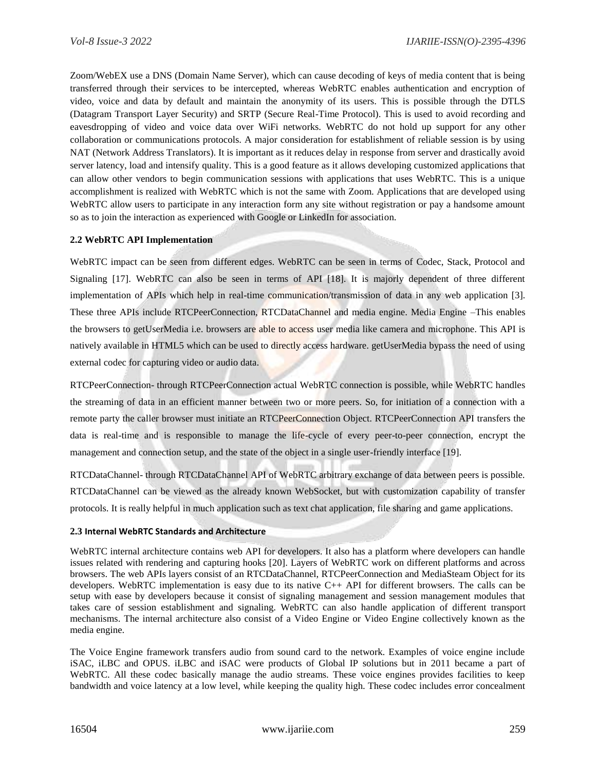Zoom/WebEX use a DNS (Domain Name Server), which can cause decoding of keys of media content that is being transferred through their services to be intercepted, whereas WebRTC enables authentication and encryption of video, voice and data by default and maintain the anonymity of its users. This is possible through the DTLS (Datagram Transport Layer Security) and SRTP (Secure Real-Time Protocol). This is used to avoid recording and eavesdropping of video and voice data over WiFi networks. WebRTC do not hold up support for any other collaboration or communications protocols. A major consideration for establishment of reliable session is by using NAT (Network Address Translators). It is important as it reduces delay in response from server and drastically avoid server latency, load and intensify quality. This is a good feature as it allows developing customized applications that can allow other vendors to begin communication sessions with applications that uses WebRTC. This is a unique accomplishment is realized with WebRTC which is not the same with Zoom. Applications that are developed using WebRTC allow users to participate in any interaction form any site without registration or pay a handsome amount so as to join the interaction as experienced with Google or LinkedIn for association.

## **2.2 WebRTC API Implementation**

WebRTC impact can be seen from different edges. WebRTC can be seen in terms of Codec, Stack, Protocol and Signaling [17]. WebRTC can also be seen in terms of API [18]. It is majorly dependent of three different implementation of APIs which help in real-time communication/transmission of data in any web application [3]. These three APIs include RTCPeerConnection, RTCDataChannel and media engine. Media Engine –This enables the browsers to getUserMedia i.e. browsers are able to access user media like camera and microphone. This API is natively available in HTML5 which can be used to directly access hardware. getUserMedia bypass the need of using external codec for capturing video or audio data.

RTCPeerConnection- through RTCPeerConnection actual WebRTC connection is possible, while WebRTC handles the streaming of data in an efficient manner between two or more peers. So, for initiation of a connection with a remote party the caller browser must initiate an RTCPeerConnection Object. RTCPeerConnection API transfers the data is real-time and is responsible to manage the life-cycle of every peer-to-peer connection, encrypt the management and connection setup, and the state of the object in a single user-friendly interface [19].

RTCDataChannel- through RTCDataChannel API of WebRTC arbitrary exchange of data between peers is possible. RTCDataChannel can be viewed as the already known WebSocket, but with customization capability of transfer protocols. It is really helpful in much application such as text chat application, file sharing and game applications.

## **2.3 Internal WebRTC Standards and Architecture**

WebRTC internal architecture contains web API for developers. It also has a platform where developers can handle issues related with rendering and capturing hooks [20]. Layers of WebRTC work on different platforms and across browsers. The web APIs layers consist of an RTCDataChannel, RTCPeerConnection and MediaSteam Object for its developers. WebRTC implementation is easy due to its native C++ API for different browsers. The calls can be setup with ease by developers because it consist of signaling management and session management modules that takes care of session establishment and signaling. WebRTC can also handle application of different transport mechanisms. The internal architecture also consist of a Video Engine or Video Engine collectively known as the media engine.

The Voice Engine framework transfers audio from sound card to the network. Examples of voice engine include iSAC, iLBC and OPUS. iLBC and iSAC were products of Global IP solutions but in 2011 became a part of WebRTC. All these codec basically manage the audio streams. These voice engines provides facilities to keep bandwidth and voice latency at a low level, while keeping the quality high. These codec includes error concealment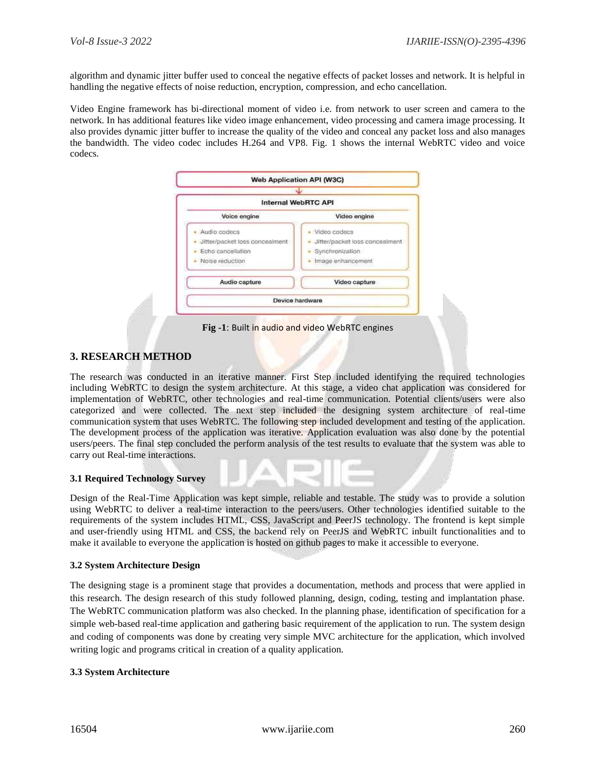algorithm and dynamic jitter buffer used to conceal the negative effects of packet losses and network. It is helpful in handling the negative effects of noise reduction, encryption, compression, and echo cancellation.

Video Engine framework has bi-directional moment of video i.e. from network to user screen and camera to the network. In has additional features like video image enhancement, video processing and camera image processing. It also provides dynamic jitter buffer to increase the quality of the video and conceal any packet loss and also manages the bandwidth. The video codec includes H.264 and VP8. Fig. 1 shows the internal WebRTC video and voice codecs.



**Fig -1**: Built in audio and video WebRTC engines

# **3. RESEARCH METHOD**

The research was conducted in an iterative manner. First Step included identifying the required technologies including WebRTC to design the system architecture. At this stage, a video chat application was considered for implementation of WebRTC, other technologies and real-time communication. Potential clients/users were also categorized and were collected. The next step included the designing system architecture of real-time communication system that uses WebRTC. The following step included development and testing of the application. The development process of the application was iterative. Application evaluation was also done by the potential users/peers. The final step concluded the perform analysis of the test results to evaluate that the system was able to carry out Real-time interactions.

## **3.1 Required Technology Survey**

Design of the Real-Time Application was kept simple, reliable and testable. The study was to provide a solution using WebRTC to deliver a real-time interaction to the peers/users. Other technologies identified suitable to the requirements of the system includes HTML, CSS, JavaScript and PeerJS technology. The frontend is kept simple and user-friendly using HTML and CSS, the backend rely on PeerJS and WebRTC inbuilt functionalities and to make it available to everyone the application is hosted on github pages to make it accessible to everyone.

## **3.2 System Architecture Design**

The designing stage is a prominent stage that provides a documentation, methods and process that were applied in this research. The design research of this study followed planning, design, coding, testing and implantation phase. The WebRTC communication platform was also checked. In the planning phase, identification of specification for a simple web-based real-time application and gathering basic requirement of the application to run. The system design and coding of components was done by creating very simple MVC architecture for the application, which involved writing logic and programs critical in creation of a quality application.

#### **3.3 System Architecture**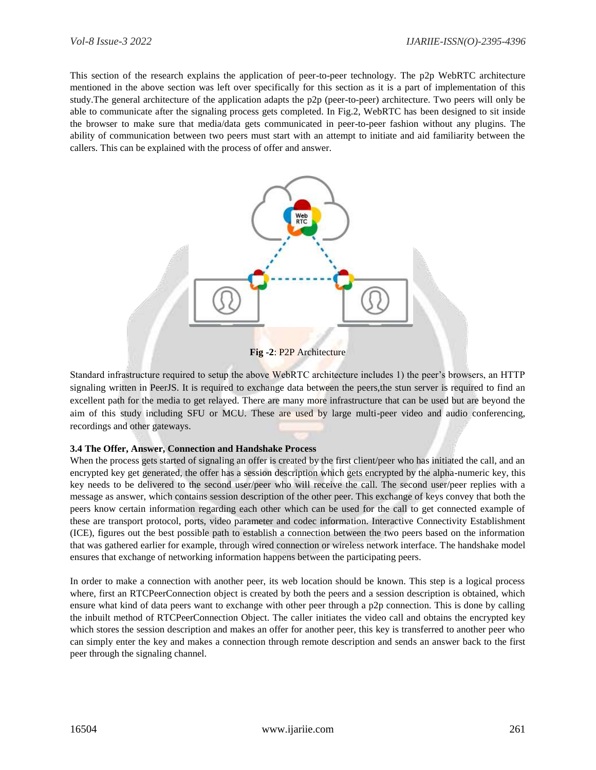This section of the research explains the application of peer-to-peer technology. The p2p WebRTC architecture mentioned in the above section was left over specifically for this section as it is a part of implementation of this study.The general architecture of the application adapts the p2p (peer-to-peer) architecture. Two peers will only be able to communicate after the signaling process gets completed. In Fig.2, WebRTC has been designed to sit inside the browser to make sure that media/data gets communicated in peer-to-peer fashion without any plugins. The ability of communication between two peers must start with an attempt to initiate and aid familiarity between the callers. This can be explained with the process of offer and answer.



**Fig -2**: P2P Architecture

Standard infrastructure required to setup the above WebRTC architecture includes 1) the peer's browsers, an HTTP signaling written in PeerJS. It is required to exchange data between the peers,the stun server is required to find an excellent path for the media to get relayed. There are many more infrastructure that can be used but are beyond the aim of this study including SFU or MCU. These are used by large multi-peer video and audio conferencing, recordings and other gateways.

## **3.4 The Offer, Answer, Connection and Handshake Process**

When the process gets started of signaling an offer is created by the first client/peer who has initiated the call, and an encrypted key get generated, the offer has a session description which gets encrypted by the alpha-numeric key, this key needs to be delivered to the second user/peer who will receive the call. The second user/peer replies with a message as answer, which contains session description of the other peer. This exchange of keys convey that both the peers know certain information regarding each other which can be used for the call to get connected example of these are transport protocol, ports, video parameter and codec information. Interactive Connectivity Establishment (ICE), figures out the best possible path to establish a connection between the two peers based on the information that was gathered earlier for example, through wired connection or wireless network interface. The handshake model ensures that exchange of networking information happens between the participating peers.

In order to make a connection with another peer, its web location should be known. This step is a logical process where, first an RTCPeerConnection object is created by both the peers and a session description is obtained, which ensure what kind of data peers want to exchange with other peer through a p2p connection. This is done by calling the inbuilt method of RTCPeerConnection Object. The caller initiates the video call and obtains the encrypted key which stores the session description and makes an offer for another peer, this key is transferred to another peer who can simply enter the key and makes a connection through remote description and sends an answer back to the first peer through the signaling channel.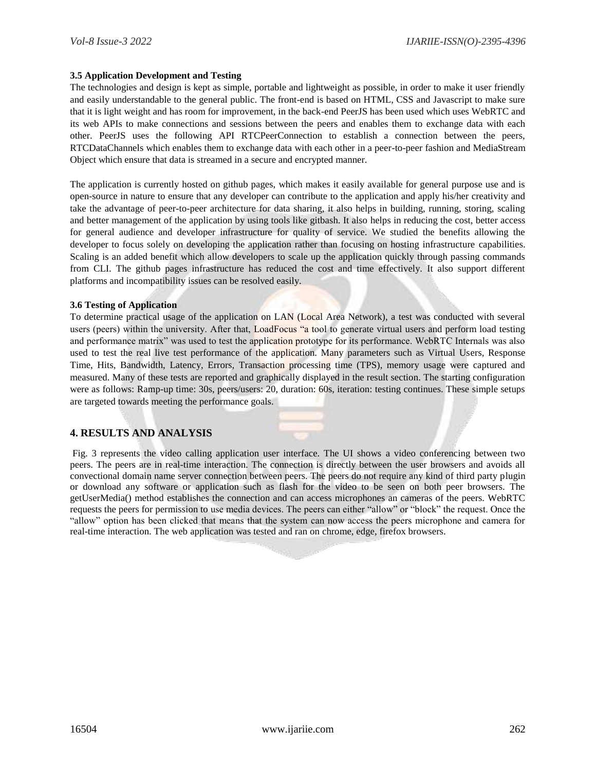#### **3.5 Application Development and Testing**

The technologies and design is kept as simple, portable and lightweight as possible, in order to make it user friendly and easily understandable to the general public. The front-end is based on HTML, CSS and Javascript to make sure that it is light weight and has room for improvement, in the back-end PeerJS has been used which uses WebRTC and its web APIs to make connections and sessions between the peers and enables them to exchange data with each other. PeerJS uses the following API RTCPeerConnection to establish a connection between the peers, RTCDataChannels which enables them to exchange data with each other in a peer-to-peer fashion and MediaStream Object which ensure that data is streamed in a secure and encrypted manner.

The application is currently hosted on github pages, which makes it easily available for general purpose use and is open-source in nature to ensure that any developer can contribute to the application and apply his/her creativity and take the advantage of peer-to-peer architecture for data sharing, it also helps in building, running, storing, scaling and better management of the application by using tools like gitbash. It also helps in reducing the cost, better access for general audience and developer infrastructure for quality of service. We studied the benefits allowing the developer to focus solely on developing the application rather than focusing on hosting infrastructure capabilities. Scaling is an added benefit which allow developers to scale up the application quickly through passing commands from CLI. The github pages infrastructure has reduced the cost and time effectively. It also support different platforms and incompatibility issues can be resolved easily.

#### **3.6 Testing of Application**

To determine practical usage of the application on LAN (Local Area Network), a test was conducted with several users (peers) within the university. After that, LoadFocus "a tool to generate virtual users and perform load testing and performance matrix" was used to test the application prototype for its performance. WebRTC Internals was also used to test the real live test performance of the application. Many parameters such as Virtual Users, Response Time, Hits, Bandwidth, Latency, Errors, Transaction processing time (TPS), memory usage were captured and measured. Many of these tests are reported and graphically displayed in the result section. The starting configuration were as follows: Ramp-up time: 30s, peers/users: 20, duration: 60s, iteration: testing continues. These simple setups are targeted towards meeting the performance goals.

# **4. RESULTS AND ANALYSIS**

Fig. 3 represents the video calling application user interface. The UI shows a video conferencing between two peers. The peers are in real-time interaction. The connection is directly between the user browsers and avoids all convectional domain name server connection between peers. The peers do not require any kind of third party plugin or download any software or application such as flash for the video to be seen on both peer browsers. The getUserMedia() method establishes the connection and can access microphones an cameras of the peers. WebRTC requests the peers for permission to use media devices. The peers can either "allow" or "block" the request. Once the "allow" option has been clicked that means that the system can now access the peers microphone and camera for real-time interaction. The web application was tested and ran on chrome, edge, firefox browsers.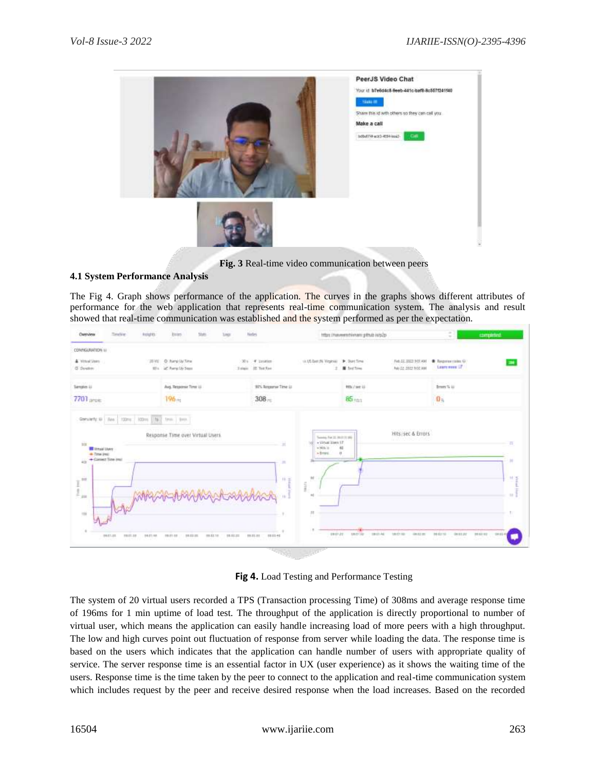

**Fig. 3** Real-time video communication between peers

# **4.1 System Performance Analysis**

The Fig 4. Graph shows performance of the application. The curves in the graphs shows different attributes of performance for the web application that represents real-time communication system. The analysis and result showed that real-time communication was established and the system performed as per the expectation.

| Overview<br>Sedire<br><b>Rolphits</b>                               | State.<br>too:<br><b>Bries</b>               | Nades                                                                               | objective during unanyment in additional | $\sim$<br>completed.<br>$\sim$                                                       |
|---------------------------------------------------------------------|----------------------------------------------|-------------------------------------------------------------------------------------|------------------------------------------|--------------------------------------------------------------------------------------|
| CONNULRATION U<br>4 virtual there.<br>O Doubm                       | 2010 O Rany Up Time<br>00% of America Street | $304 - 4$ matter.<br>to UL bat the Virginia. Dr. Start Time<br>Trian if Tothe<br>Ŧ. | <b>B</b> feature<br>No 12, 1922 9 01 AM  | Feb. 22, 2322-905 AM + Breparer color (A)<br>m<br>Learn need of                      |
| Sangles LL                                                          | Avg. Response Time LL                        | 97% Regares Time (c)                                                                | Htti / tet ili                           | $\liminf$ is                                                                         |
| $7701$ are $\epsilon$                                               | 196 <sub>12</sub>                            | $308 -$                                                                             | 85 <sub>mm</sub>                         | 0 <sub>n</sub>                                                                       |
| - Time line:<br>+ Cansell Time (ma)<br>iä.<br>$\prod_{i=1}^m$<br>iά |                                              | +brevi.<br>m<br>Ħ<br>日本<br>Î.<br>ы<br>18<br>Ħ                                       | $\theta$                                 | $\overline{1}$<br><b>M</b> (d)<br>$\left\vert \cdot \right\rangle$<br>$\mathbb{R}^+$ |

**Fig 4.** Load Testing and Performance Testing

The system of 20 virtual users recorded a TPS (Transaction processing Time) of 308ms and average response time of 196ms for 1 min uptime of load test. The throughput of the application is directly proportional to number of virtual user, which means the application can easily handle increasing load of more peers with a high throughput. The low and high curves point out fluctuation of response from server while loading the data. The response time is based on the users which indicates that the application can handle number of users with appropriate quality of service. The server response time is an essential factor in UX (user experience) as it shows the waiting time of the users. Response time is the time taken by the peer to connect to the application and real-time communication system which includes request by the peer and receive desired response when the load increases. Based on the recorded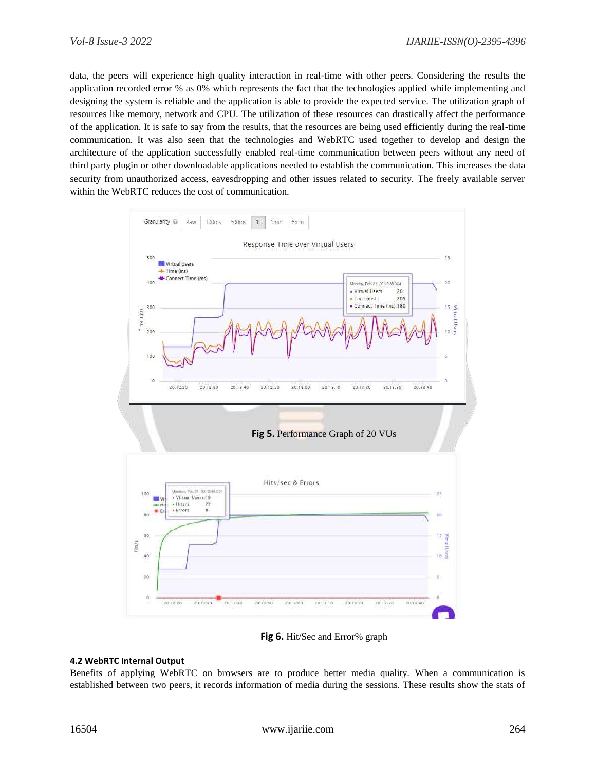data, the peers will experience high quality interaction in real-time with other peers. Considering the results the application recorded error % as 0% which represents the fact that the technologies applied while implementing and designing the system is reliable and the application is able to provide the expected service. The utilization graph of resources like memory, network and CPU. The utilization of these resources can drastically affect the performance of the application. It is safe to say from the results, that the resources are being used efficiently during the real-time communication. It was also seen that the technologies and WebRTC used together to develop and design the architecture of the application successfully enabled real-time communication between peers without any need of third party plugin or other downloadable applications needed to establish the communication. This increases the data security from unauthorized access, eavesdropping and other issues related to security. The freely available server within the WebRTC reduces the cost of communication.



**Fig 6.** Hit/Sec and Error% graph

## **4.2 WebRTC Internal Output**

Benefits of applying WebRTC on browsers are to produce better media quality. When a communication is established between two peers, it records information of media during the sessions. These results show the stats of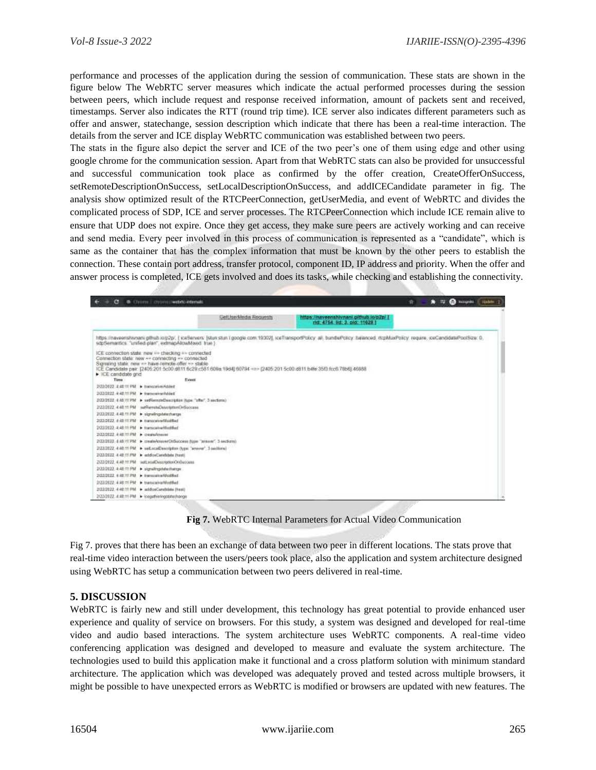performance and processes of the application during the session of communication. These stats are shown in the figure below The WebRTC server measures which indicate the actual performed processes during the session between peers, which include request and response received information, amount of packets sent and received, timestamps. Server also indicates the RTT (round trip time). ICE server also indicates different parameters such as offer and answer, statechange, session description which indicate that there has been a real-time interaction. The details from the server and ICE display WebRTC communication was established between two peers.

The stats in the figure also depict the server and ICE of the two peer's one of them using edge and other using google chrome for the communication session. Apart from that WebRTC stats can also be provided for unsuccessful and successful communication took place as confirmed by the offer creation, CreateOfferOnSuccess, setRemoteDescriptionOnSuccess, setLocalDescriptionOnSuccess, and addICECandidate parameter in fig. The analysis show optimized result of the RTCPeerConnection, getUserMedia, and event of WebRTC and divides the complicated process of SDP, ICE and server processes. The RTCPeerConnection which include ICE remain alive to ensure that UDP does not expire. Once they get access, they make sure peers are actively working and can receive and send media. Every peer involved in this process of communication is represented as a "candidate", which is same as the container that has the complex information that must be known by the other peers to establish the connection. These contain port address, transfer protocol, component ID, IP address and priority. When the offer and answer process is completed, ICE gets involved and does its tasks, while checking and establishing the connectivity.

|                                                                                                                                                                                                             | GetUserMedia Requests                                                                                                   | https://naveenshivnani.gittiub.io/p2p/ [<br>rid: 4754 lid: 3, pid: 11628 l                                                                                                      |  |
|-------------------------------------------------------------------------------------------------------------------------------------------------------------------------------------------------------------|-------------------------------------------------------------------------------------------------------------------------|---------------------------------------------------------------------------------------------------------------------------------------------------------------------------------|--|
| sitcSemartics: "unified plan", extmapAllowMood: true.)                                                                                                                                                      |                                                                                                                         | https://naveershivnani.gthub.jo.p2p/, (icaSarvars: [stun stun.i google.com/19302], icaTransportPolicy all, bundlePolicy balanced: mpMuxPolicy require, iceCandidatePoolSize: 0, |  |
| ICE connection state: new => checking => connected<br>Connection state: new -- connecting -- connected<br>Signaling state: new == have-remote-offer == stable<br>$\blacktriangleright$ ICE carddidate grid- | ICE Candidate pair. (2405/201-5c00 dil 11.6c29 c581/608a 19d4) 60794 <=> (2405/201 5c00 dB11 b4fe 35f3 fcc6 78b6) 46888 |                                                                                                                                                                                 |  |
| Time:                                                                                                                                                                                                       | Event                                                                                                                   |                                                                                                                                                                                 |  |
| 2020122 Juli 11 PM > transceive Added                                                                                                                                                                       |                                                                                                                         |                                                                                                                                                                                 |  |
| 2/22/2022 - 9:40:11:316 - Instruction/Added                                                                                                                                                                 |                                                                                                                         |                                                                                                                                                                                 |  |
| 2/22/2012 4:40:11 PM > undRonmateDeachption (type:"affer", 3 sections.)                                                                                                                                     |                                                                                                                         |                                                                                                                                                                                 |  |
| 2(23/2022, 4:48.11 PM safflametaDescriptionOnSoccase.                                                                                                                                                       |                                                                                                                         |                                                                                                                                                                                 |  |
| 2022/2022 4:48:11 PM > signalingstatecharge                                                                                                                                                                 |                                                                                                                         |                                                                                                                                                                                 |  |
| 2/22/2022, 4 (d) 11 PM > transceived footbad                                                                                                                                                                |                                                                                                                         |                                                                                                                                                                                 |  |
| 2022/2022 4:48:11 PM > Inanicalvaridadiled                                                                                                                                                                  |                                                                                                                         |                                                                                                                                                                                 |  |
| 2/22/2022 4:40:11 PM > createActivity                                                                                                                                                                       |                                                                                                                         |                                                                                                                                                                                 |  |
| 2(22/2022, 4:46:11 PM) > create/create/Ordia/costs (type "araway", 3 sections)                                                                                                                              |                                                                                                                         |                                                                                                                                                                                 |  |
| 2/22/2022 4:40:11 PM > set.acaDevertrillim (type: "anovar", 3-settlema)                                                                                                                                     |                                                                                                                         |                                                                                                                                                                                 |  |
| 2/22/2022 4:40:11 PM > addicaCandidate (host)                                                                                                                                                               |                                                                                                                         |                                                                                                                                                                                 |  |
| 2/22/2022 4:48:11 PM automation OriGuecoma                                                                                                                                                                  |                                                                                                                         |                                                                                                                                                                                 |  |
| 2/22/2022 4:48:11 PM > signalingstate/hange                                                                                                                                                                 |                                                                                                                         |                                                                                                                                                                                 |  |
| 2022/2022 4:40:11 PM > transparent/dobbed                                                                                                                                                                   |                                                                                                                         |                                                                                                                                                                                 |  |
| 2(22/2022 4:48:11 PM > InterscanarModified                                                                                                                                                                  |                                                                                                                         |                                                                                                                                                                                 |  |
| 2/22/2022 4:48:11 PM > addiceCanalidate (hast)                                                                                                                                                              |                                                                                                                         |                                                                                                                                                                                 |  |
| 2/23/2022 4:48:11 PM > looketheringstate(hange)                                                                                                                                                             |                                                                                                                         |                                                                                                                                                                                 |  |

**Fig 7.** WebRTC Internal Parameters for Actual Video Communication

Fig 7. proves that there has been an exchange of data between two peer in different locations. The stats prove that real-time video interaction between the users/peers took place, also the application and system architecture designed using WebRTC has setup a communication between two peers delivered in real-time.

# **5. DISCUSSION**

WebRTC is fairly new and still under development, this technology has great potential to provide enhanced user experience and quality of service on browsers. For this study, a system was designed and developed for real-time video and audio based interactions. The system architecture uses WebRTC components. A real-time video conferencing application was designed and developed to measure and evaluate the system architecture. The technologies used to build this application make it functional and a cross platform solution with minimum standard architecture. The application which was developed was adequately proved and tested across multiple browsers, it might be possible to have unexpected errors as WebRTC is modified or browsers are updated with new features. The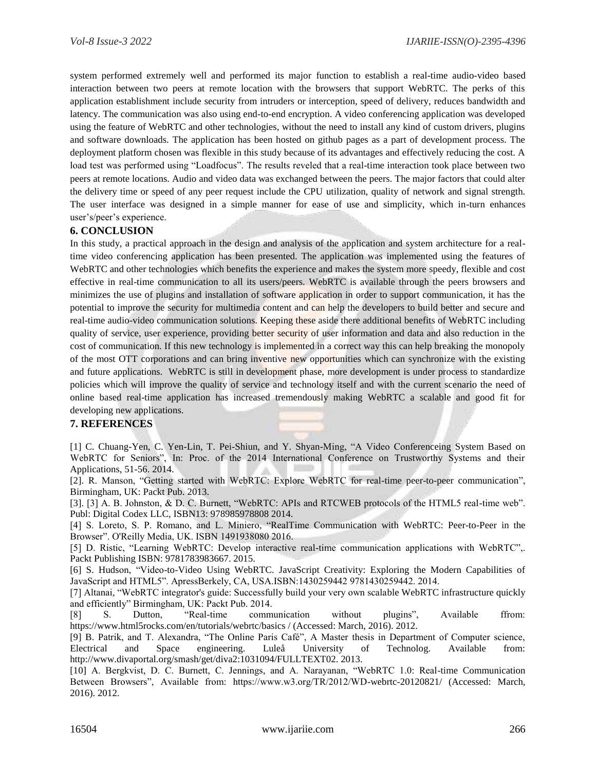system performed extremely well and performed its major function to establish a real-time audio-video based interaction between two peers at remote location with the browsers that support WebRTC. The perks of this application establishment include security from intruders or interception, speed of delivery, reduces bandwidth and latency. The communication was also using end-to-end encryption. A video conferencing application was developed using the feature of WebRTC and other technologies, without the need to install any kind of custom drivers, plugins and software downloads. The application has been hosted on github pages as a part of development process. The deployment platform chosen was flexible in this study because of its advantages and effectively reducing the cost. A load test was performed using "Loadfocus". The results reveled that a real-time interaction took place between two peers at remote locations. Audio and video data was exchanged between the peers. The major factors that could alter the delivery time or speed of any peer request include the CPU utilization, quality of network and signal strength. The user interface was designed in a simple manner for ease of use and simplicity, which in-turn enhances user's/peer's experience.

# **6. CONCLUSION**

In this study, a practical approach in the design and analysis of the application and system architecture for a realtime video conferencing application has been presented. The application was implemented using the features of WebRTC and other technologies which benefits the experience and makes the system more speedy, flexible and cost effective in real-time communication to all its users/peers. WebRTC is available through the peers browsers and minimizes the use of plugins and installation of software application in order to support communication, it has the potential to improve the security for multimedia content and can help the developers to build better and secure and real-time audio-video communication solutions. Keeping these aside there additional benefits of WebRTC including quality of service, user experience, providing better security of user information and data and also reduction in the cost of communication. If this new technology is implemented in a correct way this can help breaking the monopoly of the most OTT corporations and can bring inventive new opportunities which can synchronize with the existing and future applications. WebRTC is still in development phase, more development is under process to standardize policies which will improve the quality of service and technology itself and with the current scenario the need of online based real-time application has increased tremendously making WebRTC a scalable and good fit for developing new applications.

## **7. REFERENCES**

[1] C. Chuang-Yen, C. Yen-Lin, T. Pei-Shiun, and Y. Shyan-Ming, "A Video Conferenceing System Based on WebRTC for Seniors", In: Proc. of the 2014 International Conference on Trustworthy Systems and their Applications, 51-56. 2014.

[2]. R. Manson, "Getting started with WebRTC: Explore WebRTC for real-time peer-to-peer communication", Birmingham, UK: Packt Pub. 2013.

[3]. [3] A. B. Johnston, & D. C. Burnett, "WebRTC: APIs and RTCWEB protocols of the HTML5 real-time web". Publ: Digital Codex LLC, ISBN13: 978985978808 2014.

[4] S. Loreto, S. P. Romano, and L. Miniero, "RealTime Communication with WebRTC: Peer-to-Peer in the Browser". O'Reilly Media, UK. ISBN 1491938080 2016.

[5] D. Ristic, "Learning WebRTC: Develop interactive real-time communication applications with WebRTC",. Packt Publishing ISBN: 9781783983667. 2015.

[6] S. Hudson, "Video-to-Video Using WebRTC. JavaScript Creativity: Exploring the Modern Capabilities of JavaScript and HTML5". ApressBerkely, CA, USA.ISBN:1430259442 9781430259442. 2014.

[7] Altanai, "WebRTC integrator's guide: Successfully build your very own scalable WebRTC infrastructure quickly and efficiently" Birmingham, UK: Packt Pub. 2014.

[8] S. Dutton, "Real-time communication without plugins", Available ffrom: https://www.html5rocks.com/en/tutorials/webrtc/basics / (Accessed: March, 2016). 2012.

[9] B. Patrik, and T. Alexandra, "The Online Paris Café", A Master thesis in Department of Computer science, Electrical and Space engineering. Luleå University of Technolog. Available from: http://www.divaportal.org/smash/get/diva2:1031094/FULLTEXT02. 2013.

[10] A. Bergkvist, D. C. Burnett, C. Jennings, and A. Narayanan, "WebRTC 1.0: Real-time Communication Between Browsers", Available from: https://www.w3.org/TR/2012/WD-webrtc-20120821/ (Accessed: March, 2016). 2012.